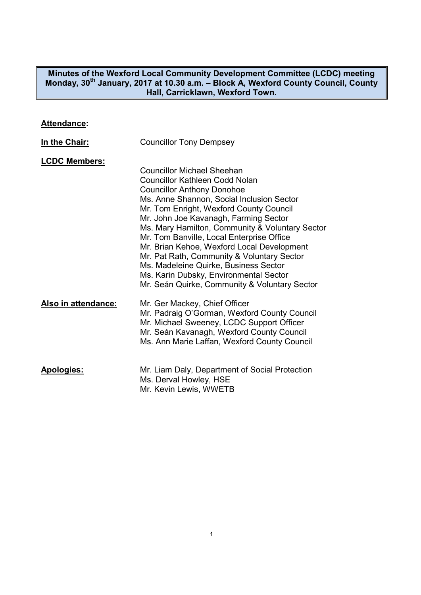**Minutes of the Wexford Local Community Development Committee (LCDC) meeting Monday, 30th January, 2017 at 10.30 a.m. – Block A, Wexford County Council, County Hall, Carricklawn, Wexford Town.** 

### **Attendance:**

| In the Chair:        | <b>Councillor Tony Dempsey</b>                                                                                                                                                                                                                                                                                                                                                                                                                                                                                                                                            |
|----------------------|---------------------------------------------------------------------------------------------------------------------------------------------------------------------------------------------------------------------------------------------------------------------------------------------------------------------------------------------------------------------------------------------------------------------------------------------------------------------------------------------------------------------------------------------------------------------------|
| <b>LCDC Members:</b> | <b>Councillor Michael Sheehan</b><br>Councillor Kathleen Codd Nolan<br><b>Councillor Anthony Donohoe</b><br>Ms. Anne Shannon, Social Inclusion Sector<br>Mr. Tom Enright, Wexford County Council<br>Mr. John Joe Kavanagh, Farming Sector<br>Ms. Mary Hamilton, Community & Voluntary Sector<br>Mr. Tom Banville, Local Enterprise Office<br>Mr. Brian Kehoe, Wexford Local Development<br>Mr. Pat Rath, Community & Voluntary Sector<br>Ms. Madeleine Quirke, Business Sector<br>Ms. Karin Dubsky, Environmental Sector<br>Mr. Seán Quirke, Community & Voluntary Sector |
| Also in attendance:  | Mr. Ger Mackey, Chief Officer<br>Mr. Padraig O'Gorman, Wexford County Council<br>Mr. Michael Sweeney, LCDC Support Officer<br>Mr. Seán Kavanagh, Wexford County Council<br>Ms. Ann Marie Laffan, Wexford County Council                                                                                                                                                                                                                                                                                                                                                   |
| <b>Apologies:</b>    | Mr. Liam Daly, Department of Social Protection<br>Ms. Derval Howley, HSE<br>Mr. Kevin Lewis, WWETB                                                                                                                                                                                                                                                                                                                                                                                                                                                                        |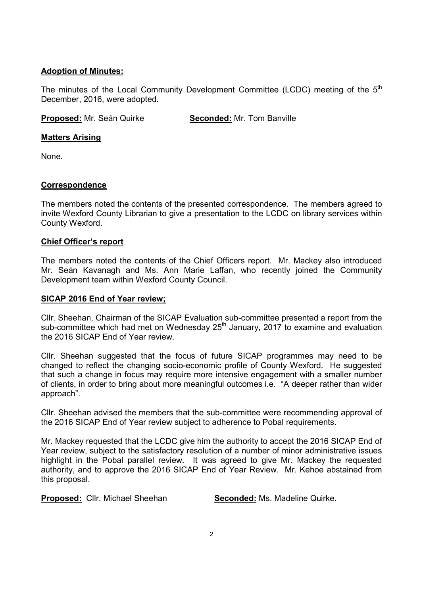# **Adoption of Minutes:**

The minutes of the Local Community Development Committee (LCDC) meeting of the 5<sup>th</sup> December, 2016, were adopted.

**Proposed:** Mr. Seán Quirke **Seconded:** Mr. Tom Banville

# **Matters Arising**

None.

# **Correspondence**

The members noted the contents of the presented correspondence. The members agreed to invite Wexford County Librarian to give a presentation to the LCDC on library services within County Wexford.

# **Chief Officer's report**

The members noted the contents of the Chief Officers report. Mr. Mackey also introduced Mr. Seán Kavanagh and Ms. Ann Marie Laffan, who recently joined the Community Development team within Wexford County Council.

## **SICAP 2016 End of Year review;**

Cllr. Sheehan, Chairman of the SICAP Evaluation sub-committee presented a report from the sub-committee which had met on Wednesday  $25<sup>th</sup>$  January, 2017 to examine and evaluation the 2016 SICAP End of Year review.

Cllr. Sheehan suggested that the focus of future SICAP programmes may need to be changed to reflect the changing socio-economic profile of County Wexford. He suggested that such a change in focus may require more intensive engagement with a smaller number of clients, in order to bring about more meaningful outcomes i.e. "A deeper rather than wider approach".

Cllr. Sheehan advised the members that the sub-committee were recommending approval of the 2016 SICAP End of Year review subject to adherence to Pobal requirements.

Mr. Mackey requested that the LCDC give him the authority to accept the 2016 SICAP End of Year review, subject to the satisfactory resolution of a number of minor administrative issues highlight in the Pobal parallel review. It was agreed to give Mr. Mackey the requested authority, and to approve the 2016 SICAP End of Year Review. Mr. Kehoe abstained from this proposal.

**Proposed:** Cllr. Michael Sheehan **Seconded:** Ms. Madeline Quirke.